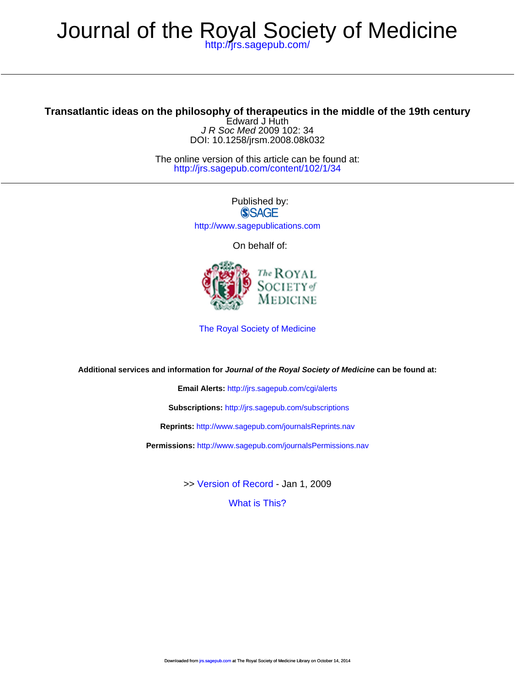## <http://jrs.sagepub.com/> Journal of the Royal Society of Medicine

DOI: 10.1258/jrsm.2008.08k032 J R Soc Med 2009 102: 34 Edward J Huth **Transatlantic ideas on the philosophy of therapeutics in the middle of the 19th century**

> <http://jrs.sagepub.com/content/102/1/34> The online version of this article can be found at:

> > Published by: **SSAGE** <http://www.sagepublications.com>

> > > On behalf of:



[The Royal Society of Medicine](http://www.rsm.ac.uk/)

**Additional services and information for Journal of the Royal Society of Medicine can be found at:**

**Email Alerts:** <http://jrs.sagepub.com/cgi/alerts>

**Subscriptions:** <http://jrs.sagepub.com/subscriptions>

**Reprints:** <http://www.sagepub.com/journalsReprints.nav>

**Permissions:** <http://www.sagepub.com/journalsPermissions.nav>

>> [Version of Record -](http://jrs.sagepub.com/content/102/1/34.full.pdf) Jan 1, 2009

[What is This?](http://online.sagepub.com/site/sphelp/vorhelp.xhtml)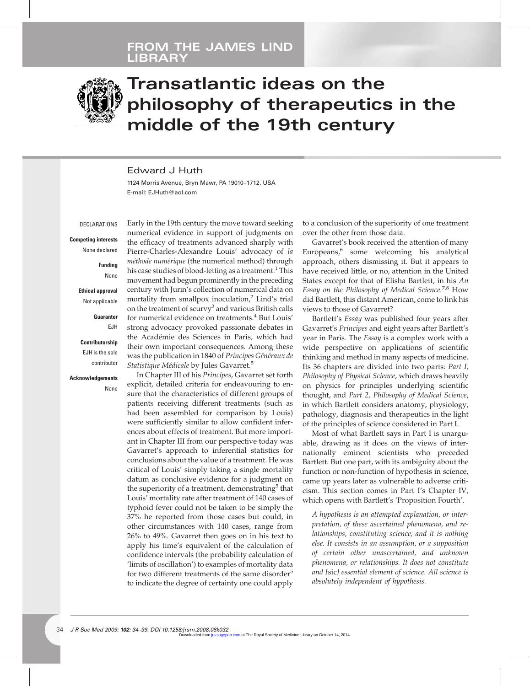### **FROM THE JAMES LIND LIBRARY**



# **Transatlantic ideas on the philosophy of therapeutics in the middle of the 19th century**

### Edward J Huth

1124 Morris Avenue, Bryn Mawr, PA 19010–1712, USA E-mail: EJHuth@aol.com

**DECLARATIONS** 

**Competing interests** None declared

> **Funding** None

**Ethical approval** Not applicable

> **Guarantor** EJH

**Contributorship** EJH is the sole

contributor

**Acknowledgements**

None

Early in the 19th century the move toward seeking numerical evidence in support of judgments on the efficacy of treatments advanced sharply with Pierre-Charles-Alexandre Louis' advocacy of *la méthode numérique* (the numerical method) through his case studies of blood-letting as a treatment.<sup>1</sup> This movement had begun prominently in the preceding century with Jurin's collection of numerical data on mortality from smallpox inoculation,<sup>2</sup> Lind's trial on the treatment of scurvy<sup>3</sup> and various British calls for numerical evidence on treatments.<sup>4</sup> But Louis' strong advocacy provoked passionate debates in the Académie des Sciences in Paris, which had their own important consequences. Among these was the publication in 1840 of *Principes Généraux de Statistique Médicale* by Jules Gavarret.<sup>5</sup>

In Chapter III of his *Principes*, Gavarret set forth explicit, detailed criteria for endeavouring to ensure that the characteristics of different groups of patients receiving different treatments (such as had been assembled for comparison by Louis) were sufficiently similar to allow confident inferences about effects of treatment. But more important in Chapter III from our perspective today was Gavarret's approach to inferential statistics for conclusions about the value of a treatment. He was critical of Louis' simply taking a single mortality datum as conclusive evidence for a judgment on the superiority of a treatment, demonstrating<sup>5</sup> that Louis' mortality rate after treatment of 140 cases of typhoid fever could not be taken to be simply the 37% he reported from those cases but could, in other circumstances with 140 cases, range from 26% to 49%. Gavarret then goes on in his text to apply his time's equivalent of the calculation of confidence intervals (the probability calculation of 'limits of oscillation') to examples of mortality data for two different treatments of the same disorder<sup>5</sup> to indicate the degree of certainty one could apply

to a conclusion of the superiority of one treatment over the other from those data.

Gavarret's book received the attention of many Europeans,<sup>6</sup> some welcoming his analytical approach, others dismissing it. But it appears to have received little, or no, attention in the United States except for that of Elisha Bartlett, in his *An Essay on the Philosophy of Medical Science.*7,8 How did Bartlett, this distant American, come to link his views to those of Gavarret?

Bartlett's *Essay* was published four years after Gavarret's *Principes* and eight years after Bartlett's year in Paris. The *Essay* is a complex work with a wide perspective on applications of scientific thinking and method in many aspects of medicine. Its 36 chapters are divided into two parts: *Part I, Philosophy of Physical Science*, which draws heavily on physics for principles underlying scientific thought, and *Part 2, Philosophy of Medical Science*, in which Bartlett considers anatomy, physiology, pathology, diagnosis and therapeutics in the light of the principles of science considered in Part I.

Most of what Bartlett says in Part I is unarguable, drawing as it does on the views of internationally eminent scientists who preceded Bartlett. But one part, with its ambiguity about the function or non-function of hypothesis in science, came up years later as vulnerable to adverse criticism. This section comes in Part I's Chapter IV, which opens with Bartlett's 'Proposition Fourth'.

*A hypothesis is an attempted explanation, or interpretation, of these ascertained phenomena, and relationships, constituting science; and it is nothing else. It consists in an assumption, or a supposition of certain other unascertained, and unknown phenomena, or relationships. It does not constitute and [*sic*] essential element of science. All science is absolutely independent of hypothesis.*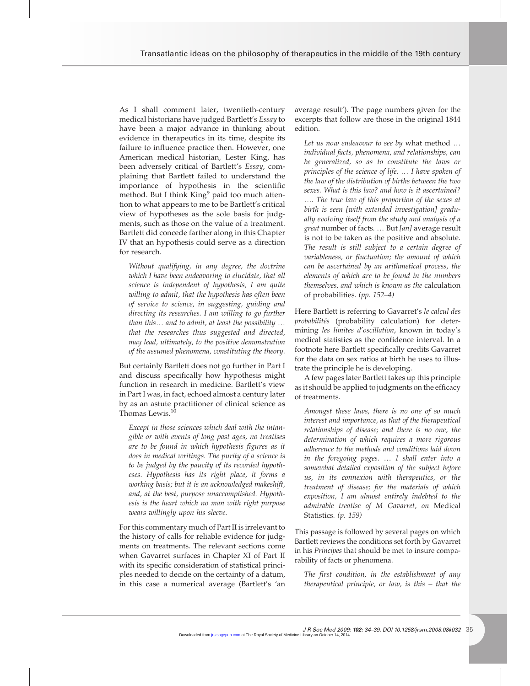As I shall comment later, twentieth-century medical historians have judged Bartlett's *Essay* to have been a major advance in thinking about evidence in therapeutics in its time, despite its failure to influence practice then. However, one American medical historian, Lester King, has been adversely critical of Bartlett's *Essay*, complaining that Bartlett failed to understand the importance of hypothesis in the scientific method. But I think  $King<sup>9</sup>$  paid too much attention to what appears to me to be Bartlett's critical view of hypotheses as the sole basis for judgments, such as those on the value of a treatment. Bartlett did concede farther along in this Chapter IV that an hypothesis could serve as a direction for research.

*Without qualifying, in any degree, the doctrine which I have been endeavoring to elucidate, that all science is independent of hypothesis, I am quite willing to admit, that the hypothesis has often been of service to science, in suggesting, guiding and directing its researches. I am willing to go further than this*. *and to admit, at least the possibility* . *that the researches thus suggested and directed, may lead, ultimately, to the positive demonstration of the assumed phenomena, constituting the theory.*

But certainly Bartlett does not go further in Part I and discuss specifically how hypothesis might function in research in medicine. Bartlett's view in Part I was, in fact, echoed almost a century later by as an astute practitioner of clinical science as Thomas Lewis.<sup>10</sup>

*Except in those sciences which deal with the intangible or with events of long past ages, no treatises are to be found in which hypothesis figures as it does in medical writings. The purity of a science is to be judged by the paucity of its recorded hypotheses. Hypothesis has its right place, it forms a working basis; but it is an acknowledged makeshift, and, at the best, purpose unaccomplished. Hypothesis is the heart which no man with right purpose wears willingly upon his sleeve.*

For this commentary much of Part II is irrelevant to the history of calls for reliable evidence for judgments on treatments. The relevant sections come when Gavarret surfaces in Chapter XI of Part II with its specific consideration of statistical principles needed to decide on the certainty of a datum, in this case a numerical average (Bartlett's 'an

average result'). The page numbers given for the excerpts that follow are those in the original 1844 edition.

*Let us now endeavour to see by* what method . *individual facts, phenomena, and relationships, can be generalized, so as to constitute the laws or principles of the science of life.* . *I have spoken of the law of the distribution of births between the two sexes. What is this law? and how is it ascertained?* .*. The true law of this proportion of the sexes at birth is seen [with extended investigation] gradually evolving itself from the study and analysis of a great* number of facts*.* . But *[an]* average result is not to be taken as the positive and absolute*. The result is still subject to a certain degree of variableness, or fluctuation; the amount of which can be ascertained by an arithmetical process, the elements of which are to be found in the numbers themselves, and which is known as the* calculation of probabilities*. (pp. 152–4)*

Here Bartlett is referring to Gavarret's *le calcul des probabilités* (probability calculation) for determining *les limites d'oscillation*, known in today's medical statistics as the confidence interval. In a footnote here Bartlett specifically credits Gavarret for the data on sex ratios at birth he uses to illustrate the principle he is developing.

A few pages later Bartlett takes up this principle as it should be applied to judgments on the efficacy of treatments.

*Amongst these laws, there is no one of so much interest and importance, as that of the therapeutical relationships of disease; and there is no one, the determination of which requires a more rigorous adherence to the methods and conditions laid down in the foregoing pages. ...* I shall enter into a *somewhat detailed exposition of the subject before us, in its connexion with therapeutics, or the treatment of disease; for the materials of which exposition, I am almost entirely indebted to the admirable treatise of M Gavarret, on* Medical Statistics*. (p. 159)*

This passage is followed by several pages on which Bartlett reviews the conditions set forth by Gavarret in his *Principes* that should be met to insure comparability of facts or phenomena.

*The first condition, in the establishment of any therapeutical principle, or law, is this – that the*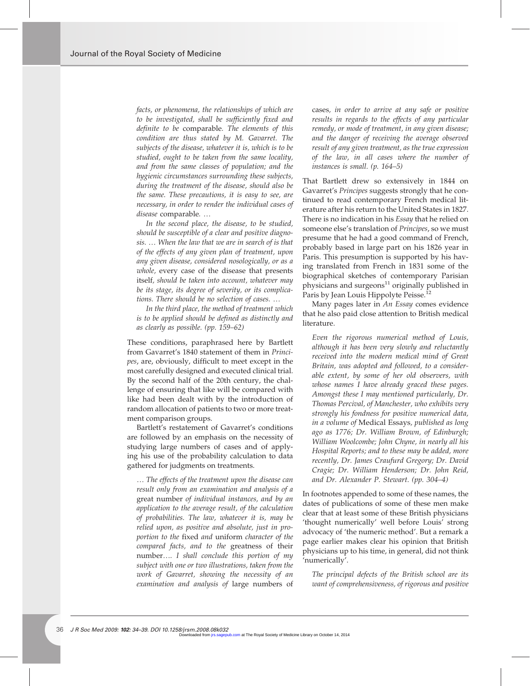*facts, or phenomena, the relationships of which are to be investigated, shall be sufficiently fixed and definite to be* comparable*. The elements of this condition are thus stated by M. Gavarret. The subjects of the disease, whatever it is, which is to be studied, ought to be taken from the same locality, and from the same classes of population; and the hygienic circumstances surrounding these subjects, during the treatment of the disease, should also be the same. These precautions, it is easy to see, are necessary, in order to render the individual cases of disease* comparable*.* .

*In the second place, the disease, to be studied, should be susceptible of a clear and positive diagnosis.* . *When the law that we are in search of is that of the effects of any given plan of treatment, upon any given disease, considered nosologically, or as a whole,* every case of the disease that presents itself*, should be taken into account, whatever may be its stage, its degree of severity, or its complications. There should be no selection of cases.* .

*In the third place, the method of treatment which is to be applied should be defined as distinctly and as clearly as possible. (pp. 159–62)*

These conditions, paraphrased here by Bartlett from Gavarret's 1840 statement of them in *Principes*, are, obviously, difficult to meet except in the most carefully designed and executed clinical trial. By the second half of the 20th century, the challenge of ensuring that like will be compared with like had been dealt with by the introduction of random allocation of patients to two or more treatment comparison groups.

Bartlett's restatement of Gavarret's conditions are followed by an emphasis on the necessity of studying large numbers of cases and of applying his use of the probability calculation to data gathered for judgments on treatments.

. *The effects of the treatment upon the disease can result only from an examination and analysis of a* great number *of individual instances, and by an application to the average result, of the calculation of probabilities. The law, whatever it is, may be relied upon, as positive and absolute, just in proportion to the* fixed *and* uniform *character of the compared facts, and to the* greatness of their number.*. I shall conclude this portion of my subject with one or two illustrations, taken from the work of Gavarret, showing the necessity of an examination and analysis of* large numbers of cases*, in order to arrive at any safe or positive results in regards to the effects of any particular remedy, or mode of treatment, in any given disease; and the danger of receiving the average observed result of any given treatment, as the true expression of the law, in all cases where the number of instances is small. (p. 164–5)*

That Bartlett drew so extensively in 1844 on Gavarret's *Principes* suggests strongly that he continued to read contemporary French medical literature after his return to the United States in 1827. There is no indication in his *Essay* that he relied on someone else's translation of *Principes*, so we must presume that he had a good command of French, probably based in large part on his 1826 year in Paris. This presumption is supported by his having translated from French in 1831 some of the biographical sketches of contemporary Parisian physicians and surgeons $11$  originally published in Paris by Jean Louis Hippolyte Peisse.<sup>12</sup>

Many pages later in *An Essay* comes evidence that he also paid close attention to British medical literature.

*Even the rigorous numerical method of Louis, although it has been very slowly and reluctantly received into the modern medical mind of Great Britain, was adopted and followed, to a considerable extent, by some of her old observers, with whose names I have already graced these pages. Amongst these I may mentioned particularly, Dr. Thomas Percival, of Manchester, who exhibits very strongly his fondness for positive numerical data, in a volume of* Medical Essays*, published as long ago as 1776; Dr. William Brown, of Edinburgh; William Woolcombe; John Chyne, in nearly all his Hospital Reports; and to these may be added, more recently, Dr. James Craufurd Gregory; Dr. David Cragie; Dr. William Henderson; Dr. John Reid, and Dr. Alexander P. Stewart. (pp. 304–4)*

In footnotes appended to some of these names, the dates of publications of some of these men make clear that at least some of these British physicians 'thought numerically' well before Louis' strong advocacy of 'the numeric method'. But a remark a page earlier makes clear his opinion that British physicians up to his time, in general, did not think 'numerically'.

*The principal defects of the British school are its want of comprehensiveness, of rigorous and positive*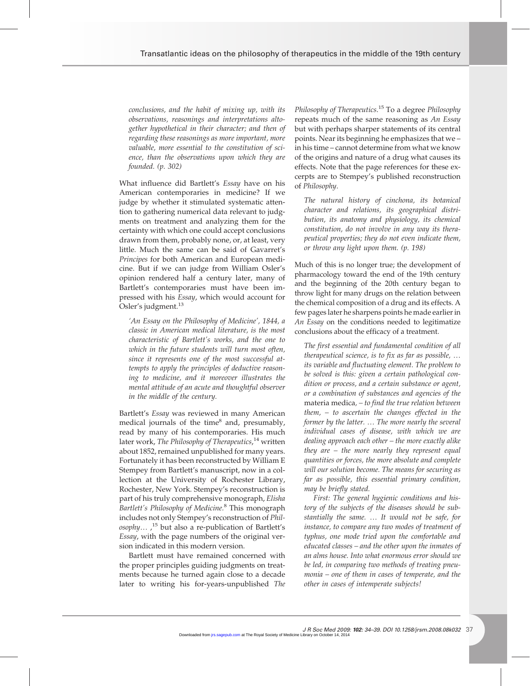*conclusions, and the habit of mixing up, with its observations, reasonings and interpretations altogether hypothetical in their character; and then of regarding these reasonings as more important, more valuable, more essential to the constitution of science, than the observations upon which they are founded. (p. 302)*

What influence did Bartlett's *Essay* have on his American contemporaries in medicine? If we judge by whether it stimulated systematic attention to gathering numerical data relevant to judgments on treatment and analyzing them for the certainty with which one could accept conclusions drawn from them, probably none, or, at least, very little. Much the same can be said of Gavarret's *Principes* for both American and European medicine. But if we can judge from William Osler's opinion rendered half a century later, many of Bartlett's contemporaries must have been impressed with his *Essay*, which would account for Osler's judgment.<sup>13</sup>

*'An Essay on the Philosophy of Medicine', 1844, a classic in American medical literature, is the most characteristic of Bartlett's works, and the one to which in the future students will turn most often, since it represents one of the most successful attempts to apply the principles of deductive reasoning to medicine, and it moreover illustrates the mental attitude of an acute and thoughtful observer in the middle of the century.*

Bartlett's *Essay* was reviewed in many American medical journals of the time<sup>8</sup> and, presumably, read by many of his contemporaries. His much later work, *The Philosophy of Therapeutics*, <sup>14</sup> written about 1852, remained unpublished for many years. Fortunately it has been reconstructed by William E Stempey from Bartlett's manuscript, now in a collection at the University of Rochester Library, Rochester, New York. Stempey's reconstruction is part of his truly comprehensive monograph, *Elisha Bartlett's Philosophy of Medicine.*<sup>8</sup> This monograph includes not only Stempey's reconstruction of *Philosophy*. , <sup>15</sup> but also a re-publication of Bartlett's *Essay*, with the page numbers of the original version indicated in this modern version.

Bartlett must have remained concerned with the proper principles guiding judgments on treatments because he turned again close to a decade later to writing his for-years-unpublished *The*

*Philosophy of Therapeutics*. <sup>15</sup> To a degree *Philosophy* repeats much of the same reasoning as *An Essay* but with perhaps sharper statements of its central points. Near its beginning he emphasizes that we – in his time – cannot determine from what we know of the origins and nature of a drug what causes its effects. Note that the page references for these excerpts are to Stempey's published reconstruction of *Philosophy*.

*The natural history of cinchona, its botanical character and relations, its geographical distribution, its anatomy and physiology, its chemical constitution, do not involve in any way its therapeutical properties; they do not even indicate them, or throw any light upon them. (p. 198)*

Much of this is no longer true; the development of pharmacology toward the end of the 19th century and the beginning of the 20th century began to throw light for many drugs on the relation between the chemical composition of a drug and its effects. A few pages later he sharpens points he made earlier in *An Essay* on the conditions needed to legitimatize conclusions about the efficacy of a treatment.

*The first essential and fundamental condition of all therapeutical science, is to fix as far as possible,* . *its variable and fluctuating element. The problem to be solved is this: given a certain pathological condition or process, and a certain substance or agent, or a combination of substances and agencies of the* materia medica*, – to find the true relation between them, – to ascertain the changes effected in the former by the latter. ... The more nearly the several individual cases of disease, with which we are dealing approach each other – the more exactly alike they are – the more nearly they represent equal quantities or forces, the more absolute and complete will our solution become. The means for securing as far as possible, this essential primary condition, may be briefly stated.*

*First: The general hygienic conditions and history of the subjects of the diseases should be substantially the same.* . *It would not be safe, for instance, to compare any two modes of treatment of typhus, one mode tried upon the comfortable and educated classes – and the other upon the inmates of an alms house. Into what enormous error should we be led, in comparing two methods of treating pneumonia – one of them in cases of temperate, and the other in cases of intemperate subjects!*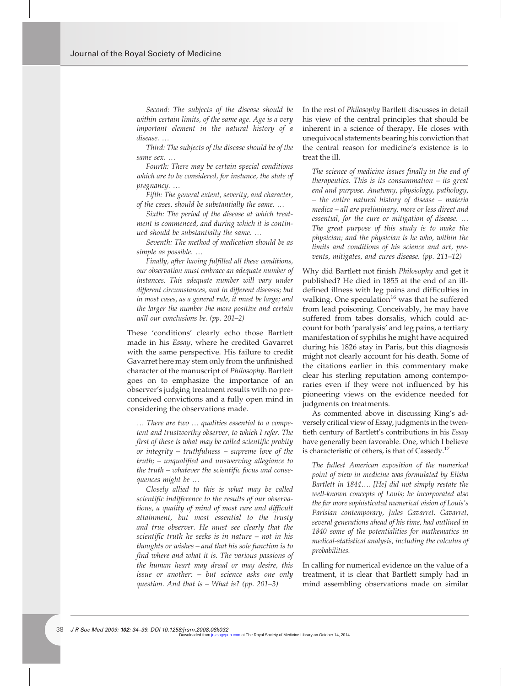*Second: The subjects of the disease should be within certain limits, of the same age. Age is a very important element in the natural history of a disease.* .

*Third: The subjects of the disease should be of the same sex.* .

*Fourth: There may be certain special conditions which are to be considered, for instance, the state of pregnancy.* .

*Fifth: The general extent, severity, and character, of the cases, should be substantially the same.* .

*Sixth: The period of the disease at which treatment is commenced, and during which it is continued should be substantially the same.* .

*Seventh: The method of medication should be as simple as possible.* .

*Finally, after having fulfilled all these conditions, our observation must embrace an adequate number of instances. This adequate number will vary under different circumstances, and in different diseases; but in most cases, as a general rule, it must be large; and the larger the number the more positive and certain will our conclusions be. (pp. 201–2)*

These 'conditions' clearly echo those Bartlett made in his *Essay*, where he credited Gavarret with the same perspective. His failure to credit Gavarret here may stem only from the unfinished character of the manuscript of *Philosophy*. Bartlett goes on to emphasize the importance of an observer's judging treatment results with no preconceived convictions and a fully open mind in considering the observations made.

. *There are two* . *qualities essential to a competent and trustworthy observer, to which I refer. The first of these is what may be called scientific probity or integrity – truthfulness – supreme love of the truth; – unqualified and unswerving allegiance to the truth – whatever the scientific focus and consequences might be* .

*Closely allied to this is what may be called scientific indifference to the results of our observations, a quality of mind of most rare and difficult attainment, but most essential to the trusty and true observer. He must see clearly that the scientific truth he seeks is in nature – not in his thoughts or wishes – and that his sole function is to find where and what it is. The various passions of the human heart may dread or may desire, this issue or another: – but science asks one only question. And that is – What is? (pp. 201–3)*

In the rest of *Philosophy* Bartlett discusses in detail his view of the central principles that should be inherent in a science of therapy. He closes with unequivocal statements bearing his conviction that the central reason for medicine's existence is to treat the ill.

*The science of medicine issues finally in the end of therapeutics. This is its consummation – its great end and purpose. Anatomy, physiology, pathology, – the entire natural history of disease – materia medica – all are preliminary, more or less direct and essential, for the cure or mitigation of disease.* . *The great purpose of this study is to make the physician; and the physician is he who, within the limits and conditions of his science and art, prevents, mitigates, and cures disease. (pp. 211–12)*

Why did Bartlett not finish *Philosophy* and get it published? He died in 1855 at the end of an illdefined illness with leg pains and difficulties in walking. One speculation<sup>16</sup> was that he suffered from lead poisoning. Conceivably, he may have suffered from tabes dorsalis, which could account for both 'paralysis' and leg pains, a tertiary manifestation of syphilis he might have acquired during his 1826 stay in Paris, but this diagnosis might not clearly account for his death. Some of the citations earlier in this commentary make clear his sterling reputation among contemporaries even if they were not influenced by his pioneering views on the evidence needed for judgments on treatments.

As commented above in discussing King's adversely critical view of *Essay*, judgments in the twentieth century of Bartlett's contributions in his *Essay* have generally been favorable. One, which I believe is characteristic of others, is that of Cassedy. $17$ 

*The fullest American exposition of the numerical point of view in medicine was formulated by Elisha Bartlett in 1844*.*. [He] did not simply restate the well-known concepts of Louis; he incorporated also the far more sophisticated numerical vision of Louis's Parisian contemporary, Jules Gavarret. Gavarret, several generations ahead of his time, had outlined in 1840 some of the potentialities for mathematics in medical-statistical analysis, including the calculus of probabilities.*

In calling for numerical evidence on the value of a treatment, it is clear that Bartlett simply had in mind assembling observations made on similar